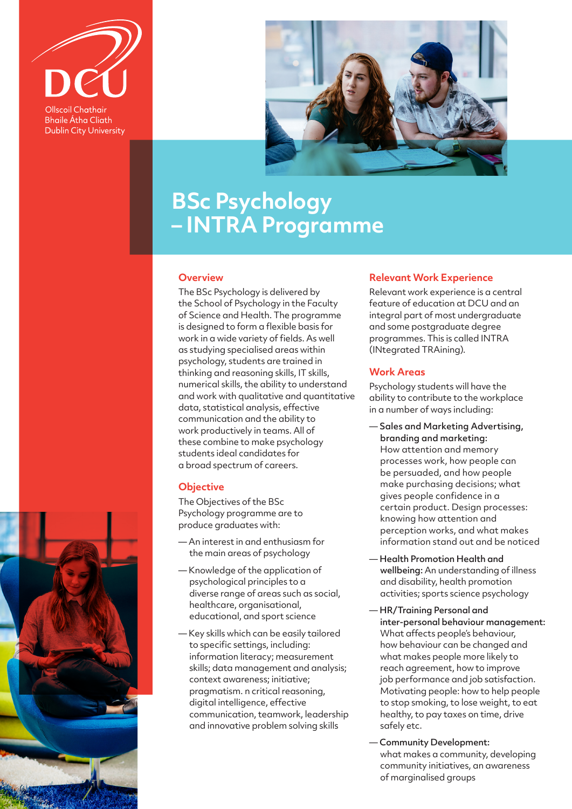

**Bhaile Átha Cliath Dublin City University** 



# **BSc Psychology – INTRA Programme**

#### **Overview**

The BSc Psychology is delivered by the School of Psychology in the Faculty of Science and Health. The programme is designed to form a flexible basis for work in a wide variety of fields. As well as studying specialised areas within psychology, students are trained in thinking and reasoning skills, IT skills, numerical skills, the ability to understand and work with qualitative and quantitative data, statistical analysis, effective communication and the ability to work productively in teams. All of these combine to make psychology students ideal candidates for a broad spectrum of careers.

## **Objective**

The Objectives of the BSc Psychology programme are to produce graduates with:

- An interest in and enthusiasm for the main areas of psychology
- Knowledge of the application of psychological principles to a diverse range of areas such as social, healthcare, organisational, educational, and sport science
- Key skills which can be easily tailored to specific settings, including: information literacy; measurement skills; data management and analysis; context awareness; initiative; pragmatism. n critical reasoning, digital intelligence, effective communication, teamwork, leadership and innovative problem solving skills

## **Relevant Work Experience**

Relevant work experience is a central feature of education at DCU and an integral part of most undergraduate and some postgraduate degree programmes. This is called INTRA (INtegrated TRAining).

### **Work Areas**

Psychology students will have the ability to contribute to the workplace in a number of ways including:

- Sales and Marketing Advertising, branding and marketing: How attention and memory processes work, how people can be persuaded, and how people make purchasing decisions; what gives people confidence in a certain product. Design processes: knowing how attention and perception works, and what makes information stand out and be noticed
- Health Promotion Health and wellbeing: An understanding of illness and disability, health promotion activities; sports science psychology
- HR/Training Personal and inter-personal behaviour management: What affects people's behaviour, how behaviour can be changed and what makes people more likely to reach agreement, how to improve job performance and job satisfaction. Motivating people: how to help people to stop smoking, to lose weight, to eat healthy, to pay taxes on time, drive safely etc.
- Community Development: what makes a community, developing community initiatives, an awareness of marginalised groups